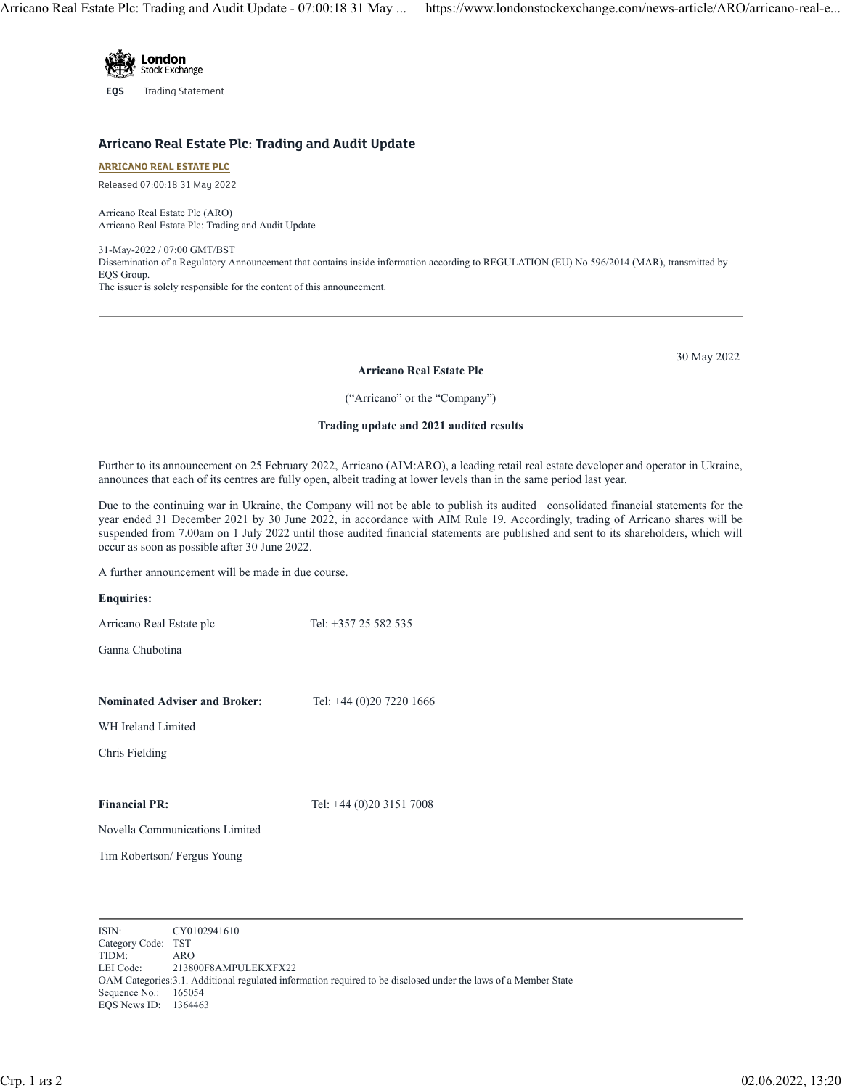

**EQS** Trading Statement

## **Arricano Real Estate Plc: Trading and Audit Update**

**[ARRICANO REAL ESTATE PLC](https://www.londonstockexchange.com/stock/ARO/arricano-real-estate-plc)**

Released 07:00:18 31 May 2022

Arricano Real Estate Plc (ARO) Arricano Real Estate Plc: Trading and Audit Update

31-May-2022 / 07:00 GMT/BST Dissemination of a Regulatory Announcement that contains inside information according to REGULATION (EU) No 596/2014 (MAR), transmitted by EQS Group. The issuer is solely responsible for the content of this announcement.

30 May 2022

## **Arricano Real Estate Plc**

("Arricano" or the "Company")

## **Trading update and 2021 audited results**

Further to its announcement on 25 February 2022, Arricano (AIM:ARO), a leading retail real estate developer and operator in Ukraine, announces that each of its centres are fully open, albeit trading at lower levels than in the same period last year.

Due to the continuing war in Ukraine, the Company will not be able to publish its audited consolidated financial statements for the year ended 31 December 2021 by 30 June 2022, in accordance with AIM Rule 19. Accordingly, trading of Arricano shares will be suspended from 7.00am on 1 July 2022 until those audited financial statements are published and sent to its shareholders, which will occur as soon as possible after 30 June 2022.

A further announcement will be made in due course.

**Enquiries:**

| Arricano Real Estate plc | Tel: +357 25 582 535 |
|--------------------------|----------------------|
|--------------------------|----------------------|

Ganna Chubotina

| <b>Nominated Adviser and Broker:</b> | Tel: +44 (0)20 7220 1666 |
|--------------------------------------|--------------------------|
|--------------------------------------|--------------------------|

WH Ireland Limited

Chris Fielding

**Financial PR:** Tel: +44 (0)20 3151 7008

Novella Communications Limited

Tim Robertson/ Fergus Young

ISIN: CY0102941610 Category Code: TST TIDM: ARO LEI Code: 213800F8AMPULEKXFX22 OAM Categories:3.1. Additional regulated information required to be disclosed under the laws of a Member State Sequence No.: 165054 EQS News ID: 1364463